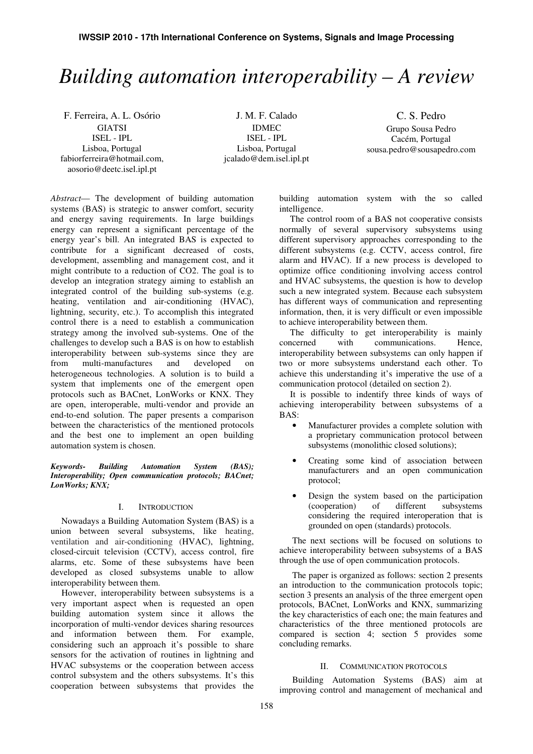# *Building automation interoperability – A review*

F. Ferreira, A. L. Osório GIATSI ISEL - IPL Lisboa, Portugal fabiorferreira@hotmail.com, aosorio@deetc.isel.ipl.pt

J. M. F. Calado IDMEC ISEL - IPL Lisboa, Portugal jcalado@dem.isel.ipl.pt

C. S. Pedro Grupo Sousa Pedro Cacém, Portugal sousa.pedro@sousapedro.com

*Abstract*— The development of building automation systems (BAS) is strategic to answer comfort, security and energy saving requirements. In large buildings energy can represent a significant percentage of the energy year's bill. An integrated BAS is expected to contribute for a significant decreased of costs, development, assembling and management cost, and it might contribute to a reduction of CO2. The goal is to develop an integration strategy aiming to establish an integrated control of the building sub-systems (e.g. heating, ventilation and air-conditioning (HVAC), lightning, security, etc.). To accomplish this integrated control there is a need to establish a communication strategy among the involved sub-systems. One of the challenges to develop such a BAS is on how to establish interoperability between sub-systems since they are from multi-manufactures and developed on heterogeneous technologies. A solution is to build a system that implements one of the emergent open protocols such as BACnet, LonWorks or KNX. They are open, interoperable, multi-vendor and provide an end-to-end solution. The paper presents a comparison between the characteristics of the mentioned protocols and the best one to implement an open building automation system is chosen.

#### *Keywords- Building Automation System (BAS); Interoperability; Open communication protocols; BACnet; LonWorks; KNX;*

#### I. INTRODUCTION

Nowadays a Building Automation System (BAS) is a union between several subsystems, like heating, ventilation and air-conditioning (HVAC), lightning, closed-circuit television (CCTV), access control, fire alarms, etc. Some of these subsystems have been developed as closed subsystems unable to allow interoperability between them.

However, interoperability between subsystems is a very important aspect when is requested an open building automation system since it allows the incorporation of multi-vendor devices sharing resources and information between them. For example, considering such an approach it's possible to share sensors for the activation of routines in lightning and HVAC subsystems or the cooperation between access control subsystem and the others subsystems. It's this cooperation between subsystems that provides the

building automation system with the so called intelligence.

The control room of a BAS not cooperative consists normally of several supervisory subsystems using different supervisory approaches corresponding to the different subsystems (e.g. CCTV, access control, fire alarm and HVAC). If a new process is developed to optimize office conditioning involving access control and HVAC subsystems, the question is how to develop such a new integrated system. Because each subsystem has different ways of communication and representing information, then, it is very difficult or even impossible to achieve interoperability between them.

The difficulty to get interoperability is mainly concerned with communications. Hence, interoperability between subsystems can only happen if two or more subsystems understand each other. To achieve this understanding it's imperative the use of a communication protocol (detailed on section 2).

It is possible to indentify three kinds of ways of achieving interoperability between subsystems of a BAS:

- Manufacturer provides a complete solution with a proprietary communication protocol between subsystems (monolithic closed solutions);
- Creating some kind of association between manufacturers and an open communication protocol;
- Design the system based on the participation<br>(cooperation) of different subsystems (cooperation) of different subsystems considering the required interoperation that is grounded on open (standards) protocols.

The next sections will be focused on solutions to achieve interoperability between subsystems of a BAS through the use of open communication protocols.

The paper is organized as follows: section 2 presents an introduction to the communication protocols topic; section 3 presents an analysis of the three emergent open protocols, BACnet, LonWorks and KNX, summarizing the key characteristics of each one; the main features and characteristics of the three mentioned protocols are compared is section 4; section 5 provides some concluding remarks.

## II. COMMUNICATION PROTOCOLS

Building Automation Systems (BAS) aim at improving control and management of mechanical and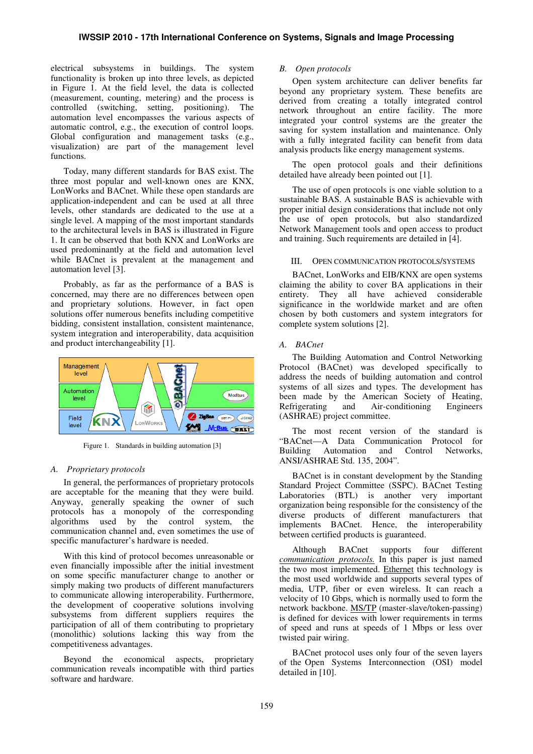electrical subsystems in buildings. The system functionality is broken up into three levels, as depicted in Figure 1. At the field level, the data is collected (measurement, counting, metering) and the process is controlled (switching, setting, positioning). The automation level encompasses the various aspects of automatic control, e.g., the execution of control loops. Global configuration and management tasks (e.g., visualization) are part of the management level functions.

Today, many different standards for BAS exist. The three most popular and well-known ones are KNX, LonWorks and BACnet. While these open standards are application-independent and can be used at all three levels, other standards are dedicated to the use at a single level. A mapping of the most important standards to the architectural levels in BAS is illustrated in Figure 1. It can be observed that both KNX and LonWorks are used predominantly at the field and automation level while BACnet is prevalent at the management and automation level [3].

Probably, as far as the performance of a BAS is concerned, may there are no differences between open and proprietary solutions. However, in fact open solutions offer numerous benefits including competitive bidding, consistent installation, consistent maintenance, system integration and interoperability, data acquisition and product interchangeability [1].



Figure 1. Standards in building automation [3]

#### *A. Proprietary protocols*

In general, the performances of proprietary protocols are acceptable for the meaning that they were build. Anyway, generally speaking the owner of such protocols has a monopoly of the corresponding algorithms used by the control system, the communication channel and, even sometimes the use of specific manufacturer's hardware is needed.

With this kind of protocol becomes unreasonable or even financially impossible after the initial investment on some specific manufacturer change to another or simply making two products of different manufacturers to communicate allowing interoperability. Furthermore, the development of cooperative solutions involving subsystems from different suppliers requires the participation of all of them contributing to proprietary (monolithic) solutions lacking this way from the competitiveness advantages.

Beyond the economical aspects, proprietary communication reveals incompatible with third parties software and hardware.

#### *B. Open protocols*

Open system architecture can deliver benefits far beyond any proprietary system. These benefits are derived from creating a totally integrated control network throughout an entire facility. The more integrated your control systems are the greater the saving for system installation and maintenance. Only with a fully integrated facility can benefit from data analysis products like energy management systems.

The open protocol goals and their definitions detailed have already been pointed out [1].

The use of open protocols is one viable solution to a sustainable BAS. A sustainable BAS is achievable with proper initial design considerations that include not only the use of open protocols, but also standardized Network Management tools and open access to product and training. Such requirements are detailed in [4].

## III. OPEN COMMUNICATION PROTOCOLS/SYSTEMS

BACnet, LonWorks and EIB/KNX are open systems claiming the ability to cover BA applications in their entirety. They all have achieved considerable significance in the worldwide market and are often chosen by both customers and system integrators for complete system solutions [2].

#### *A. BACnet*

The Building Automation and Control Networking Protocol (BACnet) was developed specifically to address the needs of building automation and control systems of all sizes and types. The development has been made by the American Society of Heating,<br>Refrigerating and Air-conditioning Engineers Air-conditioning (ASHRAE) project committee.

The most recent version of the standard is "BACnet—A Data Communication Protocol for Building Automation and Control Networks, ANSI/ASHRAE Std. 135, 2004".

BACnet is in constant development by the Standing Standard Project Committee (SSPC). BACnet Testing Laboratories (BTL) is another very important organization being responsible for the consistency of the diverse products of different manufacturers that implements BACnet. Hence, the interoperability between certified products is guaranteed.

Although BACnet supports four different *communication protocols.* In this paper is just named the two most implemented. Ethernet this technology is the most used worldwide and supports several types of media, UTP, fiber or even wireless. It can reach a velocity of 10 Gbps, which is normally used to form the network backbone. MS/TP (master-slave/token-passing) is defined for devices with lower requirements in terms of speed and runs at speeds of 1 Mbps or less over twisted pair wiring.

BACnet protocol uses only four of the seven layers of the Open Systems Interconnection (OSI) model detailed in [10].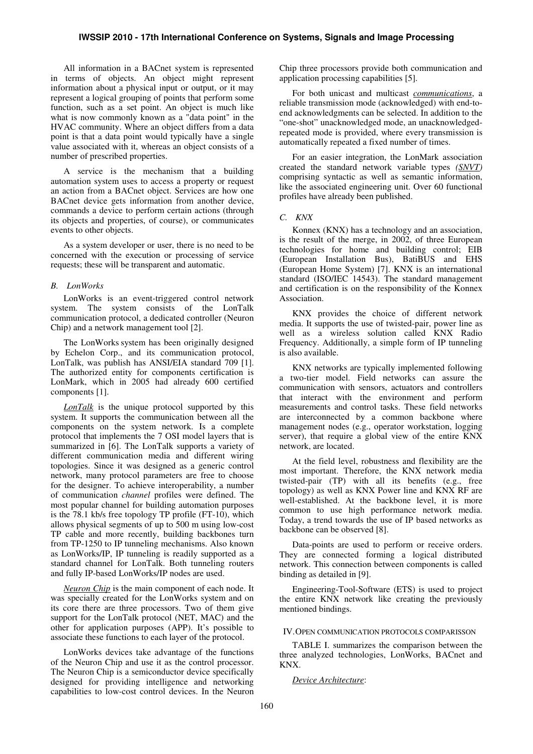All information in a BACnet system is represented in terms of objects. An object might represent information about a physical input or output, or it may represent a logical grouping of points that perform some function, such as a set point. An object is much like what is now commonly known as a "data point" in the HVAC community. Where an object differs from a data point is that a data point would typically have a single value associated with it, whereas an object consists of a number of prescribed properties.

A service is the mechanism that a building automation system uses to access a property or request an action from a BACnet object. Services are how one BACnet device gets information from another device, commands a device to perform certain actions (through its objects and properties, of course), or communicates events to other objects.

As a system developer or user, there is no need to be concerned with the execution or processing of service requests; these will be transparent and automatic.

# *B. LonWorks*

LonWorks is an event-triggered control network system. The system consists of the LonTalk communication protocol, a dedicated controller (Neuron Chip) and a network management tool [2].

The LonWorks system has been originally designed by Echelon Corp., and its communication protocol, LonTalk, was publish has ANSI/EIA standard 709 [1]. The authorized entity for components certification is LonMark, which in 2005 had already 600 certified components [1].

*LonTalk* is the unique protocol supported by this system. It supports the communication between all the components on the system network. Is a complete protocol that implements the 7 OSI model layers that is summarized in [6]. The LonTalk supports a variety of different communication media and different wiring topologies. Since it was designed as a generic control network, many protocol parameters are free to choose for the designer. To achieve interoperability, a number of communication *channel* profiles were defined. The most popular channel for building automation purposes is the 78.1 kb/s free topology TP profile (FT-10), which allows physical segments of up to 500 m using low-cost TP cable and more recently, building backbones turn from TP-1250 to IP tunneling mechanisms. Also known as LonWorks/IP, IP tunneling is readily supported as a standard channel for LonTalk. Both tunneling routers and fully IP-based LonWorks/IP nodes are used.

*Neuron Chip* is the main component of each node. It was specially created for the LonWorks system and on its core there are three processors. Two of them give support for the LonTalk protocol (NET, MAC) and the other for application purposes (APP). It's possible to associate these functions to each layer of the protocol.

LonWorks devices take advantage of the functions of the Neuron Chip and use it as the control processor. The Neuron Chip is a semiconductor device specifically designed for providing intelligence and networking capabilities to low-cost control devices. In the Neuron Chip three processors provide both communication and application processing capabilities [5].

For both unicast and multicast *communications*, a reliable transmission mode (acknowledged) with end-toend acknowledgments can be selected. In addition to the "one-shot" unacknowledged mode, an unacknowledgedrepeated mode is provided, where every transmission is automatically repeated a fixed number of times.

For an easier integration, the LonMark association created the standard network variable types *(SNVT)* comprising syntactic as well as semantic information, like the associated engineering unit. Over 60 functional profiles have already been published.

#### *C. KNX*

Konnex (KNX) has a technology and an association, is the result of the merge, in 2002, of three European technologies for home and building control; EIB (European Installation Bus), BatiBUS and EHS (European Home System) [7]. KNX is an international standard (ISO/IEC 14543). The standard management and certification is on the responsibility of the Konnex Association.

KNX provides the choice of different network media. It supports the use of twisted-pair, power line as well as a wireless solution called KNX Radio Frequency. Additionally, a simple form of IP tunneling is also available.

KNX networks are typically implemented following a two-tier model. Field networks can assure the communication with sensors, actuators and controllers that interact with the environment and perform measurements and control tasks. These field networks are interconnected by a common backbone where management nodes (e.g., operator workstation, logging server), that require a global view of the entire KNX network, are located.

At the field level, robustness and flexibility are the most important. Therefore, the KNX network media twisted-pair (TP) with all its benefits (e.g., free topology) as well as KNX Power line and KNX RF are well-established. At the backbone level, it is more common to use high performance network media. Today, a trend towards the use of IP based networks as backbone can be observed [8].

Data-points are used to perform or receive orders. They are connected forming a logical distributed network. This connection between components is called binding as detailed in [9].

Engineering-Tool-Software (ETS) is used to project the entire KNX network like creating the previously mentioned bindings.

# IV.OPEN COMMUNICATION PROTOCOLS COMPARISSON

TABLE I. summarizes the comparison between the three analyzed technologies, LonWorks, BACnet and KNX.

#### *Device Architecture*: